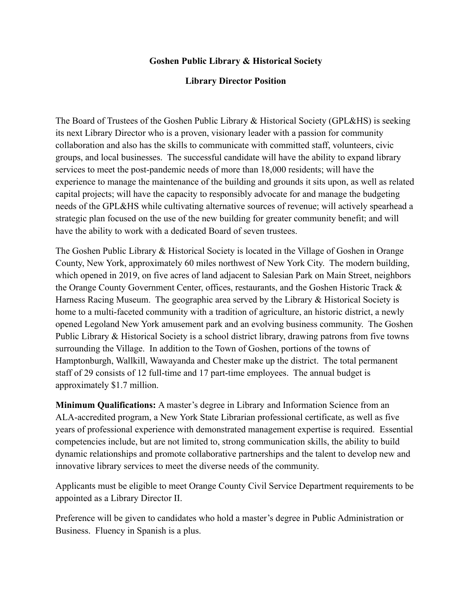## **Goshen Public Library & Historical Society**

## **Library Director Position**

The Board of Trustees of the Goshen Public Library & Historical Society (GPL&HS) is seeking its next Library Director who is a proven, visionary leader with a passion for community collaboration and also has the skills to communicate with committed staff, volunteers, civic groups, and local businesses. The successful candidate will have the ability to expand library services to meet the post-pandemic needs of more than 18,000 residents; will have the experience to manage the maintenance of the building and grounds it sits upon, as well as related capital projects; will have the capacity to responsibly advocate for and manage the budgeting needs of the GPL&HS while cultivating alternative sources of revenue; will actively spearhead a strategic plan focused on the use of the new building for greater community benefit; and will have the ability to work with a dedicated Board of seven trustees.

The Goshen Public Library & Historical Society is located in the Village of Goshen in Orange County, New York, approximately 60 miles northwest of New York City. The modern building, which opened in 2019, on five acres of land adjacent to Salesian Park on Main Street, neighbors the Orange County Government Center, offices, restaurants, and the Goshen Historic Track & Harness Racing Museum. The geographic area served by the Library & Historical Society is home to a multi-faceted community with a tradition of agriculture, an historic district, a newly opened Legoland New York amusement park and an evolving business community. The Goshen Public Library & Historical Society is a school district library, drawing patrons from five towns surrounding the Village. In addition to the Town of Goshen, portions of the towns of Hamptonburgh, Wallkill, Wawayanda and Chester make up the district. The total permanent staff of 29 consists of 12 full-time and 17 part-time employees. The annual budget is approximately \$1.7 million.

**Minimum Qualifications:** A master's degree in Library and Information Science from an ALA-accredited program, a New York State Librarian professional certificate, as well as five years of professional experience with demonstrated management expertise is required. Essential competencies include, but are not limited to, strong communication skills, the ability to build dynamic relationships and promote collaborative partnerships and the talent to develop new and innovative library services to meet the diverse needs of the community.

Applicants must be eligible to meet Orange County Civil Service Department requirements to be appointed as a Library Director II.

Preference will be given to candidates who hold a master's degree in Public Administration or Business. Fluency in Spanish is a plus.